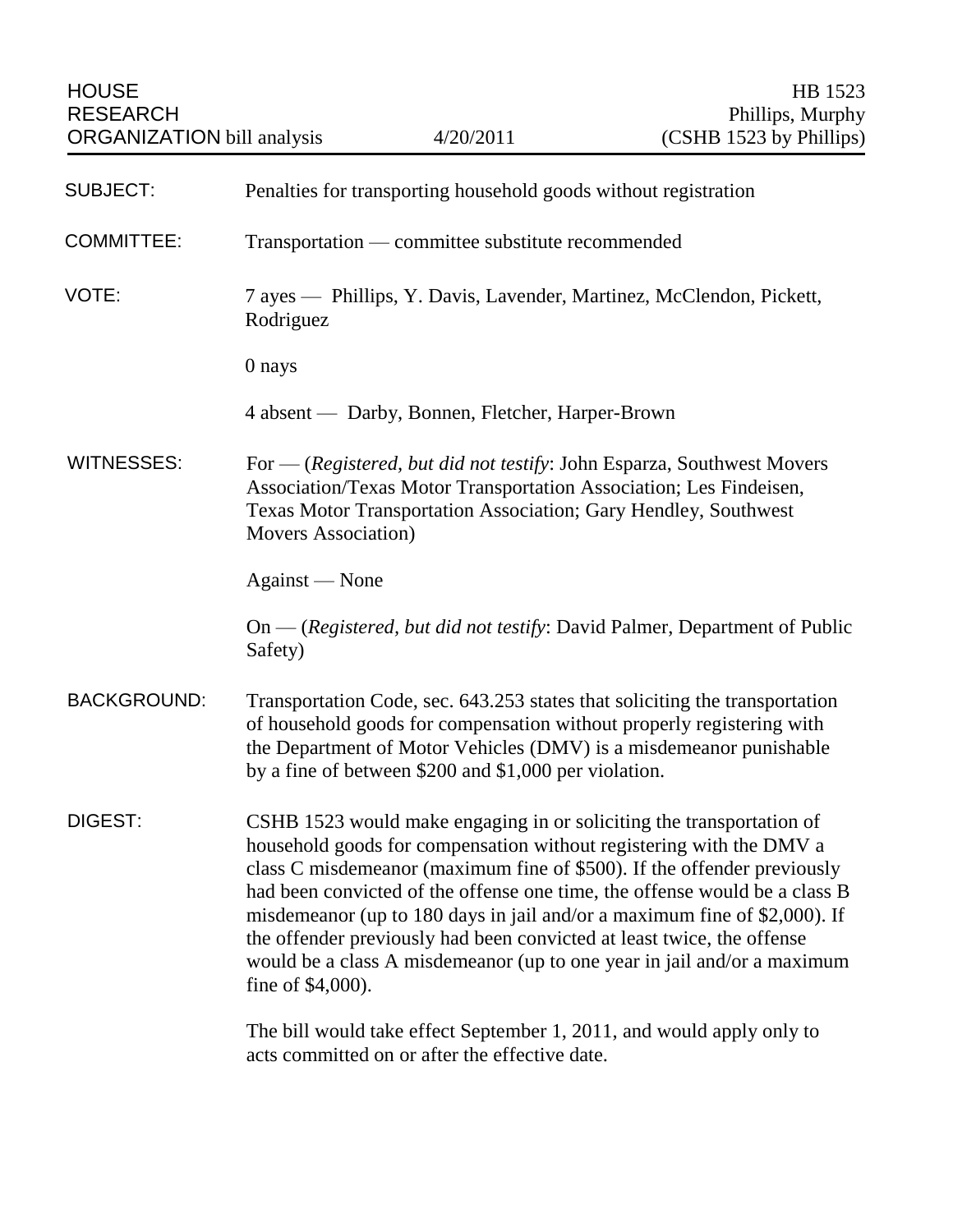| <b>HOUSE</b><br><b>RESEARCH</b><br><b>ORGANIZATION</b> bill analysis |                                                                                                                                                                                                                                                                                                                                                                                                                                                                                                                                                             | 4/20/2011                                              | HB 1523<br>Phillips, Murphy<br>(CSHB 1523 by Phillips)                                                                                                                                                                     |
|----------------------------------------------------------------------|-------------------------------------------------------------------------------------------------------------------------------------------------------------------------------------------------------------------------------------------------------------------------------------------------------------------------------------------------------------------------------------------------------------------------------------------------------------------------------------------------------------------------------------------------------------|--------------------------------------------------------|----------------------------------------------------------------------------------------------------------------------------------------------------------------------------------------------------------------------------|
| <b>SUBJECT:</b>                                                      | Penalties for transporting household goods without registration                                                                                                                                                                                                                                                                                                                                                                                                                                                                                             |                                                        |                                                                                                                                                                                                                            |
| <b>COMMITTEE:</b>                                                    | Transportation — committee substitute recommended                                                                                                                                                                                                                                                                                                                                                                                                                                                                                                           |                                                        |                                                                                                                                                                                                                            |
| VOTE:                                                                | 7 ayes — Phillips, Y. Davis, Lavender, Martinez, McClendon, Pickett,<br>Rodriguez                                                                                                                                                                                                                                                                                                                                                                                                                                                                           |                                                        |                                                                                                                                                                                                                            |
|                                                                      | 0 nays                                                                                                                                                                                                                                                                                                                                                                                                                                                                                                                                                      |                                                        |                                                                                                                                                                                                                            |
|                                                                      |                                                                                                                                                                                                                                                                                                                                                                                                                                                                                                                                                             | 4 absent — Darby, Bonnen, Fletcher, Harper-Brown       |                                                                                                                                                                                                                            |
| <b>WITNESSES:</b>                                                    | For — (Registered, but did not testify: John Esparza, Southwest Movers<br>Association/Texas Motor Transportation Association; Les Findeisen,<br>Texas Motor Transportation Association; Gary Hendley, Southwest<br><b>Movers Association</b> )                                                                                                                                                                                                                                                                                                              |                                                        |                                                                                                                                                                                                                            |
|                                                                      | Against — None                                                                                                                                                                                                                                                                                                                                                                                                                                                                                                                                              |                                                        |                                                                                                                                                                                                                            |
|                                                                      | Safety)                                                                                                                                                                                                                                                                                                                                                                                                                                                                                                                                                     |                                                        | $On$ - (Registered, but did not testify: David Palmer, Department of Public                                                                                                                                                |
| <b>BACKGROUND:</b>                                                   |                                                                                                                                                                                                                                                                                                                                                                                                                                                                                                                                                             | by a fine of between $$200$ and $$1,000$ per violation | Transportation Code, sec. 643.253 states that soliciting the transportation<br>of household goods for compensation without properly registering with<br>the Department of Motor Vehicles (DMV) is a misdemeanor punishable |
| DIGEST:                                                              | CSHB 1523 would make engaging in or soliciting the transportation of<br>household goods for compensation without registering with the DMV a<br>class C misdemeanor (maximum fine of \$500). If the offender previously<br>had been convicted of the offense one time, the offense would be a class B<br>misdemeanor (up to 180 days in jail and/or a maximum fine of \$2,000). If<br>the offender previously had been convicted at least twice, the offense<br>would be a class A misdemeanor (up to one year in jail and/or a maximum<br>fine of \$4,000). |                                                        |                                                                                                                                                                                                                            |
|                                                                      |                                                                                                                                                                                                                                                                                                                                                                                                                                                                                                                                                             | acts committed on or after the effective date.         | The bill would take effect September 1, 2011, and would apply only to                                                                                                                                                      |